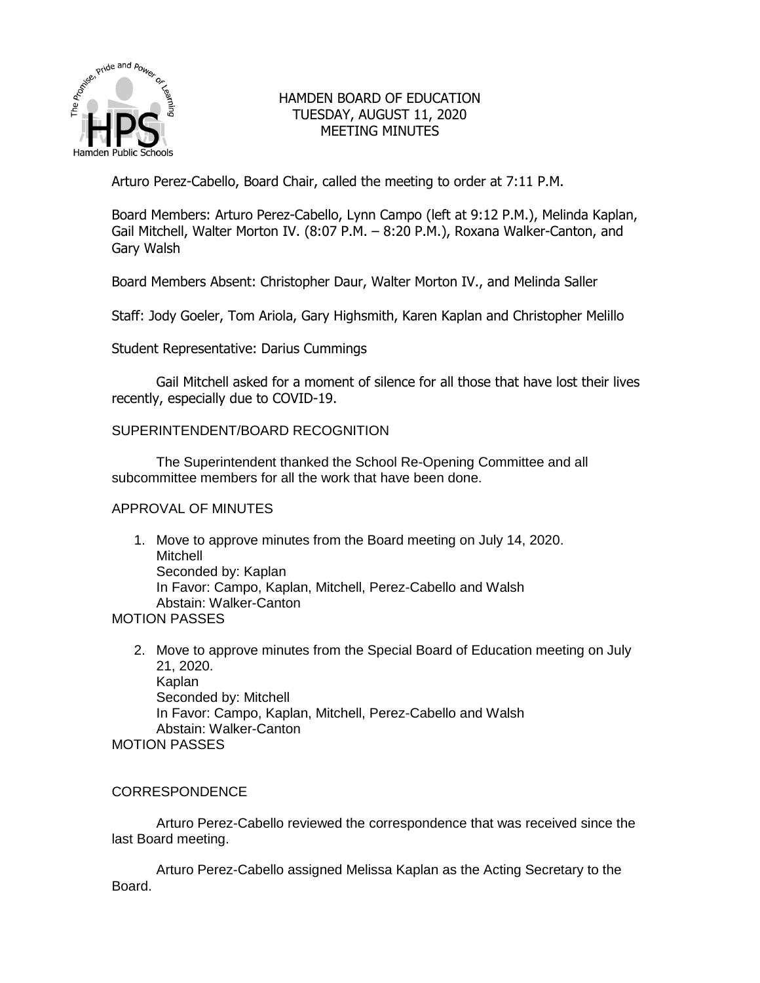

# HAMDEN BOARD OF EDUCATION TUESDAY, AUGUST 11, 2020 MEETING MINUTES

Arturo Perez-Cabello, Board Chair, called the meeting to order at 7:11 P.M.

Board Members: Arturo Perez-Cabello, Lynn Campo (left at 9:12 P.M.), Melinda Kaplan, Gail Mitchell, Walter Morton IV. (8:07 P.M. – 8:20 P.M.), Roxana Walker-Canton, and Gary Walsh

Board Members Absent: Christopher Daur, Walter Morton IV., and Melinda Saller

Staff: Jody Goeler, Tom Ariola, Gary Highsmith, Karen Kaplan and Christopher Melillo

Student Representative: Darius Cummings

Gail Mitchell asked for a moment of silence for all those that have lost their lives recently, especially due to COVID-19.

# SUPERINTENDENT/BOARD RECOGNITION

The Superintendent thanked the School Re-Opening Committee and all subcommittee members for all the work that have been done.

### APPROVAL OF MINUTES

1. Move to approve minutes from the Board meeting on July 14, 2020. Mitchell Seconded by: Kaplan In Favor: Campo, Kaplan, Mitchell, Perez-Cabello and Walsh Abstain: Walker-Canton

# MOTION PASSES

2. Move to approve minutes from the Special Board of Education meeting on July 21, 2020. Kaplan Seconded by: Mitchell In Favor: Campo, Kaplan, Mitchell, Perez-Cabello and Walsh Abstain: Walker-Canton MOTION PASSES

# CORRESPONDENCE

Arturo Perez-Cabello reviewed the correspondence that was received since the last Board meeting.

Arturo Perez-Cabello assigned Melissa Kaplan as the Acting Secretary to the Board.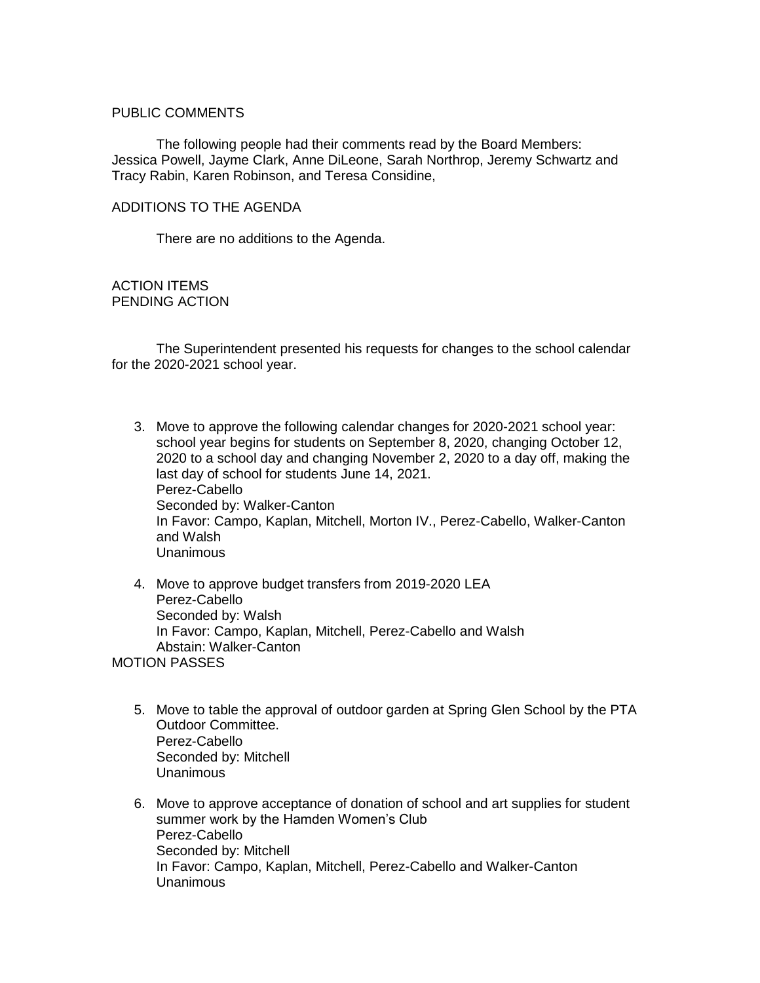### PUBLIC COMMENTS

The following people had their comments read by the Board Members: Jessica Powell, Jayme Clark, Anne DiLeone, Sarah Northrop, Jeremy Schwartz and Tracy Rabin, Karen Robinson, and Teresa Considine,

## ADDITIONS TO THE AGENDA

There are no additions to the Agenda.

ACTION ITEMS PENDING ACTION

The Superintendent presented his requests for changes to the school calendar for the 2020-2021 school year.

- 3. Move to approve the following calendar changes for 2020-2021 school year: school year begins for students on September 8, 2020, changing October 12, 2020 to a school day and changing November 2, 2020 to a day off, making the last day of school for students June 14, 2021. Perez-Cabello Seconded by: Walker-Canton In Favor: Campo, Kaplan, Mitchell, Morton IV., Perez-Cabello, Walker-Canton and Walsh Unanimous
- 4. Move to approve budget transfers from 2019-2020 LEA Perez-Cabello Seconded by: Walsh In Favor: Campo, Kaplan, Mitchell, Perez-Cabello and Walsh Abstain: Walker-Canton

MOTION PASSES

- 5. Move to table the approval of outdoor garden at Spring Glen School by the PTA Outdoor Committee. Perez-Cabello Seconded by: Mitchell Unanimous
- 6. Move to approve acceptance of donation of school and art supplies for student summer work by the Hamden Women's Club Perez-Cabello Seconded by: Mitchell In Favor: Campo, Kaplan, Mitchell, Perez-Cabello and Walker-Canton Unanimous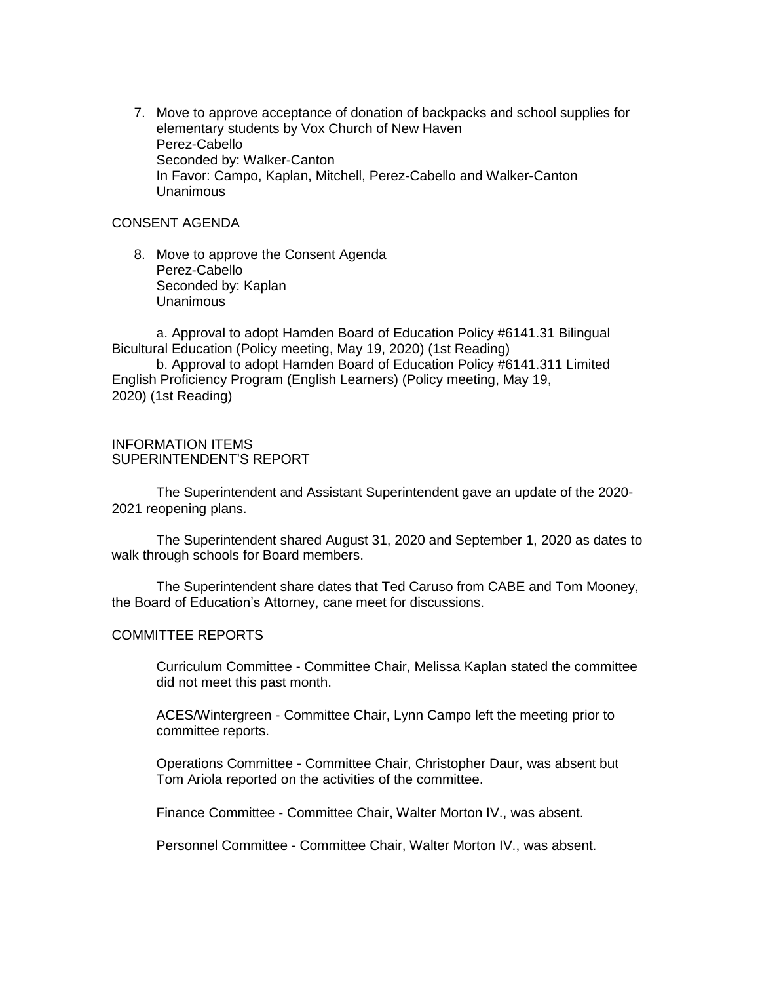7. Move to approve acceptance of donation of backpacks and school supplies for elementary students by Vox Church of New Haven Perez-Cabello Seconded by: Walker-Canton In Favor: Campo, Kaplan, Mitchell, Perez-Cabello and Walker-Canton Unanimous

# CONSENT AGENDA

8. Move to approve the Consent Agenda Perez-Cabello Seconded by: Kaplan Unanimous

a. Approval to adopt Hamden Board of Education Policy #6141.31 Bilingual Bicultural Education (Policy meeting, May 19, 2020) (1st Reading)

b. Approval to adopt Hamden Board of Education Policy #6141.311 Limited English Proficiency Program (English Learners) (Policy meeting, May 19, 2020) (1st Reading)

# INFORMATION ITEMS SUPERINTENDENT'S REPORT

The Superintendent and Assistant Superintendent gave an update of the 2020- 2021 reopening plans.

The Superintendent shared August 31, 2020 and September 1, 2020 as dates to walk through schools for Board members.

The Superintendent share dates that Ted Caruso from CABE and Tom Mooney, the Board of Education's Attorney, cane meet for discussions.

### COMMITTEE REPORTS

Curriculum Committee - Committee Chair, Melissa Kaplan stated the committee did not meet this past month.

ACES/Wintergreen - Committee Chair, Lynn Campo left the meeting prior to committee reports.

Operations Committee - Committee Chair, Christopher Daur, was absent but Tom Ariola reported on the activities of the committee.

Finance Committee - Committee Chair, Walter Morton IV., was absent.

Personnel Committee - Committee Chair, Walter Morton IV., was absent.